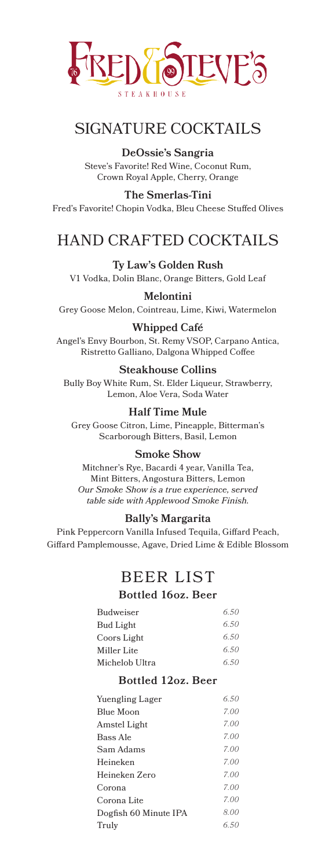

# SIGNATURE COCKTAILS

**DeOssie's Sangria** Steve's Favorite! Red Wine, Coconut Rum, Crown Royal Apple, Cherry, Orange

**The Smerlas-Tini** Fred's Favorite! Chopin Vodka, Bleu Cheese Stuffed Olives

# HAND CRAFTED COCKTAILS

**Ty Law's Golden Rush** V1 Vodka, Dolin Blanc, Orange Bitters, Gold Leaf

**Melontini**

Grey Goose Melon, Cointreau, Lime, Kiwi, Watermelon

### **Whipped Café**

Angel's Envy Bourbon, St. Remy VSOP, Carpano Antica, Ristretto Galliano, Dalgona Whipped Coffee

#### **Steakhouse Collins**

Bully Boy White Rum, St. Elder Liqueur, Strawberry, Lemon, Aloe Vera, Soda Water

### **Half Time Mule**

Grey Goose Citron, Lime, Pineapple, Bitterman's Scarborough Bitters, Basil, Lemon

#### **Smoke Show**

Mitchner's Rye, Bacardi 4 year, Vanilla Tea, Mint Bitters, Angostura Bitters, Lemon *Our Smoke Show is a true experience, served table side with Applewood Smoke Finish.*

#### **Bally's Margarita**

Pink Peppercorn Vanilla Infused Tequila, Giffard Peach, Giffard Pamplemousse, Agave, Dried Lime & Edible Blossom

# BEER LIST

#### **Bottled 16oz. Beer**

| 6.50 |
|------|
| 6.50 |
| 6.50 |
| 6.50 |
| 6.50 |
|      |

### **Bottled 12oz. Beer**

| 6.50 |
|------|
| 7.00 |
| 7.00 |
| 7.00 |
| 7.00 |
| 7.00 |
| 7.00 |
| 7.00 |
| 7.00 |
| 8.00 |
| 6.50 |
|      |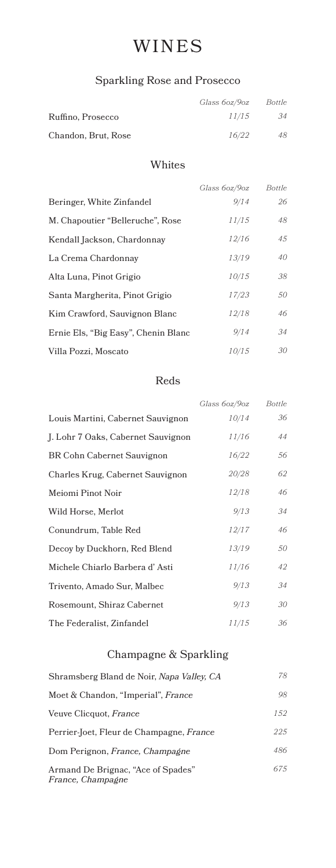# WINES

## Sparkling Rose and Prosecco

|                     | Glass 60z/90z | Bottle |
|---------------------|---------------|--------|
| Ruffino, Prosecco   | 11/15         | 34     |
| Chandon, Brut, Rose | 16/22         | 48     |

### Whites

|                                     | Glass 6oz/9oz | Bottle |
|-------------------------------------|---------------|--------|
| Beringer, White Zinfandel           | 9/14          | 26     |
| M. Chapoutier "Belleruche", Rose    | 11/15         | 48     |
| Kendall Jackson, Chardonnay         | 12/16         | 45     |
| La Crema Chardonnay                 | 13/19         | 40     |
| Alta Luna, Pinot Grigio             | 10/15         | 38     |
| Santa Margherita, Pinot Grigio      | 17/23         | 50     |
| Kim Crawford, Sauvignon Blanc       | 12/18         | 46     |
| Ernie Els, "Big Easy", Chenin Blanc | 9/14          | 34     |
| Villa Pozzi, Moscato                | 10/15         | 30     |
|                                     |               |        |

### Reds

|                                    | Glass 60z/90z | Bottle |
|------------------------------------|---------------|--------|
| Louis Martini, Cabernet Sauvignon  | 10/14         | 36     |
| J. Lohr 7 Oaks, Cabernet Sauvignon | 11/16         | 44     |
| BR Cohn Cabernet Sauvignon         | 16/22         | 56     |
| Charles Krug, Cabernet Sauvignon   | 20/28         | 62     |
| Meiomi Pinot Noir                  | 12/18         | 46     |
| Wild Horse, Merlot                 | 9/13          | 34     |
| Conundrum, Table Red               | 12/17         | 46     |
| Decoy by Duckhorn, Red Blend       | 13/19         | 50     |
| Michele Chiarlo Barbera d'Asti     | 11/16         | 42     |
| Trivento, Amado Sur, Malbec        | 9/13          | 34     |
| Rosemount, Shiraz Cabernet         | 9/13          | 30     |
| The Federalist, Zinfandel          | 11/15         | 36     |

# Champagne & Sparkling

| Shramsberg Bland de Noir, Napa Valley, CA                      | 78  |
|----------------------------------------------------------------|-----|
| Moet & Chandon, "Imperial", France                             | 98  |
| Veuve Clicquot, France                                         | 152 |
| Perrier-Joet, Fleur de Champagne, France                       | 225 |
| Dom Perignon, <i>France</i> , <i>Champagne</i>                 | 486 |
| Armand De Brignac, "Ace of Spades"<br><i>France, Champagne</i> | 675 |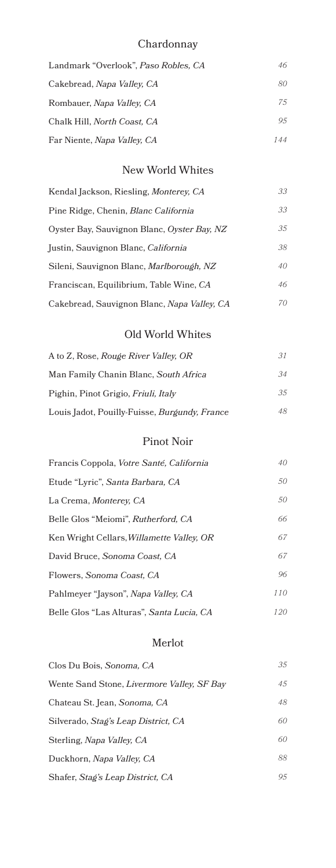## Chardonnay

| Landmark "Overlook", Paso Robles, CA | 46  |
|--------------------------------------|-----|
| Cakebread, Napa Valley, CA           | 80  |
| Rombauer, Napa Valley, CA            | 75  |
| Chalk Hill, North Coast, CA          | 95  |
| Far Niente, Napa Valley, CA          | 144 |

### New World Whites

| Kendal Jackson, Riesling, Monterey, CA      | 33 |
|---------------------------------------------|----|
| Pine Ridge, Chenin, Blanc California        | 33 |
| Oyster Bay, Sauvignon Blanc, Oyster Bay, NZ | 35 |
| Justin, Sauvignon Blanc, California         | 38 |
| Sileni, Sauvignon Blanc, Marlborough, NZ    | 40 |
| Franciscan, Equilibrium, Table Wine, CA     | 46 |
| Cakebread, Sauvignon Blanc, Napa Valley, CA | 70 |

### Old World Whites

| A to Z, Rose, Rouge River Valley, OR          | 31 |
|-----------------------------------------------|----|
| Man Family Chanin Blanc, South Africa         | 34 |
| Pighin, Pinot Grigio, Friuli, Italy           | 35 |
| Louis Jadot, Pouilly-Fuisse, Burgundy, France | 48 |

### Pinot Noir

| Francis Coppola, Votre Santé, California  | 40  |
|-------------------------------------------|-----|
| Etude "Lyric", Santa Barbara, CA          | 50  |
| La Crema, <i>Monterey</i> , CA            | 50  |
| Belle Glos "Meiomi", Rutherford, CA       | 66  |
| Ken Wright Cellars, Willamette Valley, OR | 67  |
| David Bruce, Sonoma Coast, CA             | 67  |
| Flowers, Sonoma Coast, CA                 | 96  |
| Pahlmeyer "Jayson", Napa Valley, CA       | 110 |
| Belle Glos "Las Alturas", Santa Lucia, CA | 120 |

### Merlot

| Clos Du Bois, Sonoma, CA                        | 35  |
|-------------------------------------------------|-----|
| Wente Sand Stone, Livermore Valley, SF Bay      | 4.5 |
| Chateau St. Jean, Sonoma, CA                    | 48  |
| Silverado, Stag's Leap District, CA             | 60  |
| Sterling, Napa Valley, CA                       | 60  |
| Duckhorn, Napa Valley, CA                       | 88  |
| Shafer, <i>Stag's Leap District</i> , <i>CA</i> | 9.5 |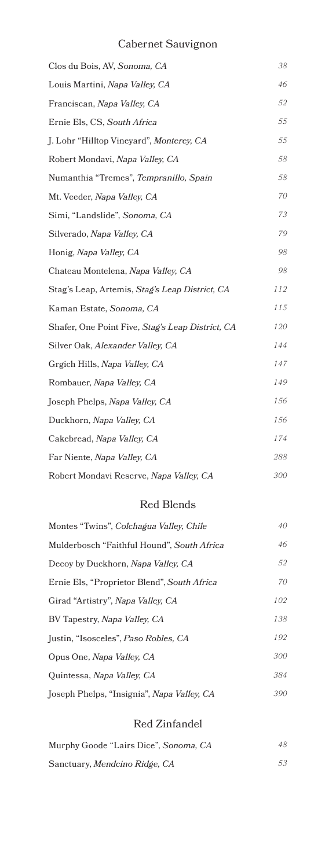## Cabernet Sauvignon

| Clos du Bois, AV, Sonoma, CA                     | 38  |
|--------------------------------------------------|-----|
| Louis Martini, Napa Valley, CA                   | 46  |
| Franciscan, Napa Valley, CA                      | 52  |
| Ernie Els, CS, South Africa                      | 55  |
| J. Lohr "Hilltop Vineyard", Monterey, CA         | 55  |
| Robert Mondavi, Napa Valley, CA                  | 58  |
| Numanthia "Tremes", Tempranillo, Spain           | 58  |
| Mt. Veeder, Napa Valley, CA                      | 70  |
| Simi, "Landslide", Sonoma, CA                    | 73  |
| Silverado, Napa Valley, CA                       | 79  |
| Honig, Napa Valley, CA                           | 98  |
| Chateau Montelena, Napa Valley, CA               | 98  |
| Stag's Leap, Artemis, Stag's Leap District, CA   | 112 |
| Kaman Estate, Sonoma, CA                         | 115 |
| Shafer, One Point Five, Stag's Leap District, CA | 120 |
| Silver Oak, Alexander Valley, CA                 | 144 |
| Grgich Hills, Napa Valley, CA                    | 147 |
| Rombauer, Napa Valley, CA                        | 149 |
| Joseph Phelps, <i>Napa Valley</i> , CA           | 156 |
| Duckhorn, Napa Valley, CA                        | 156 |
| Cakebread, Napa Valley, CA                       | 174 |
| Far Niente, Napa Valley, CA                      | 288 |
| Robert Mondavi Reserve, Napa Valley, CA          | 300 |

### Red Blends

| Montes "Twins", Colchagua Valley, Chile     | 40  |
|---------------------------------------------|-----|
| Mulderbosch "Faithful Hound", South Africa  | 46  |
| Decoy by Duckhorn, Napa Valley, CA          | 52  |
| Ernie Els, "Proprietor Blend", South Africa | 70  |
| Girad "Artistry", Napa Valley, CA           | 102 |
| BV Tapestry, Napa Valley, CA                | 138 |
| Justin, "Isosceles", Paso Robles, CA        | 192 |
| Opus One, Napa Valley, CA                   | 300 |
| Quintessa, Napa Valley, CA                  | 384 |
| Joseph Phelps, "Insignia", Napa Valley, CA  | 390 |

### Red Zinfandel

| Murphy Goode "Lairs Dice", Sonoma, CA | 48 |
|---------------------------------------|----|
| Sanctuary, Mendcino Ridge, CA         | 53 |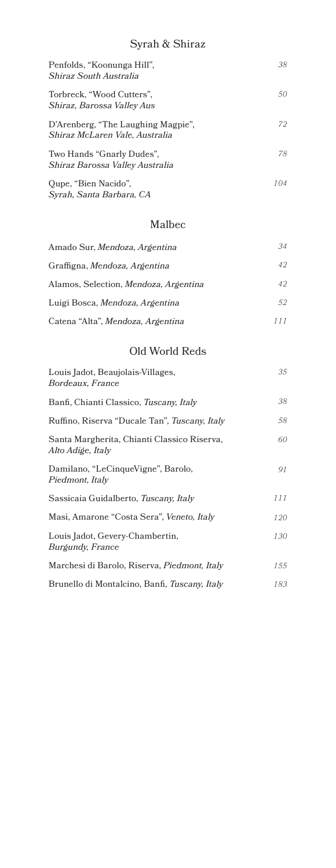## Syrah & Shiraz

| Penfolds, "Koonunga Hill",<br>Shiraz South Australia                 | 38  |
|----------------------------------------------------------------------|-----|
| Torbreck, "Wood Cutters",<br>Shiraz, Barossa Valley Aus              | 50  |
| D'Arenberg, "The Laughing Magpie",<br>Shiraz McLaren Vale, Australia | 72  |
| Two Hands "Gnarly Dudes",<br>Shiraz Barossa Valley Australia         | 78  |
| Qupe, "Bien Nacido",                                                 | 104 |

### Malbec

*Syrah, Santa Barbara, CA*

| Amado Sur, Mendoza, Argentina         | 34  |
|---------------------------------------|-----|
| Graffigna, Mendoza, Argentina         | 42  |
| Alamos, Selection, Mendoza, Argentina | 42  |
| Luigi Bosca, Mendoza, Argentina       | 52  |
| Catena "Alta", Mendoza, Argentina     | 111 |

### Old World Reds

| Louis Jadot, Beaujolais-Villages,<br>Bordeaux, France            | 35  |
|------------------------------------------------------------------|-----|
| Banfi, Chianti Classico, Tuscany, Italy                          | 38  |
| Ruffino, Riserva "Ducale Tan", Tuscany, Italy                    | 58  |
| Santa Margherita, Chianti Classico Riserva,<br>Alto Adige, Italy | 60  |
| Damilano, "LeCinqueVigne", Barolo,<br>Piedmont, Italy            | 91  |
| Sassicaia Guidalberto, Tuscany, Italy                            | 111 |
| Masi, Amarone "Costa Sera", Veneto, Italy                        | 120 |
| Louis Jadot, Gevery-Chambertin,<br><i>Burgundy, France</i>       | 130 |
| Marchesi di Barolo, Riserva, Piedmont, Italy                     | 155 |
| Brunello di Montalcino, Banfi, Tuscany, Italy                    | 183 |